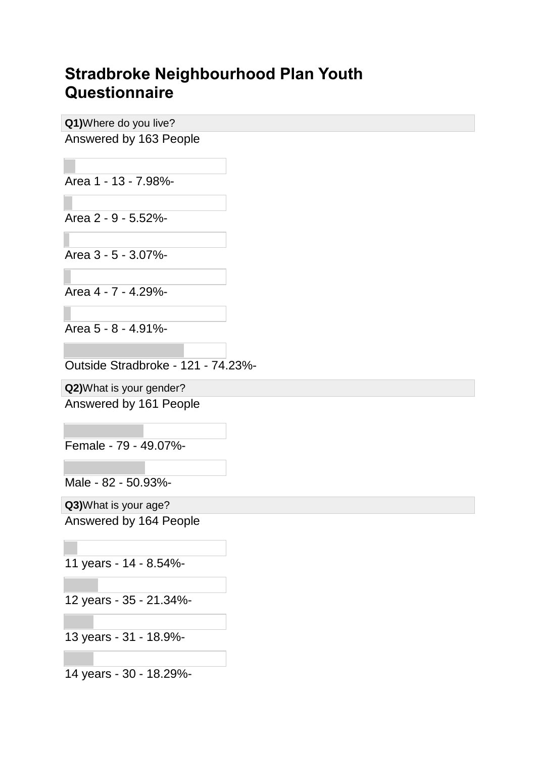## **Stradbroke Neighbourhood Plan Youth Questionnaire**

**Q1)**Where do you live? Answered by 163 People

Area 1 - 13 - 7.98%-

Area 2 - 9 - 5.52%-

Area 3 - 5 - 3.07%-

Area 4 - 7 - 4.29%-

Area 5 - 8 - 4.91%-

Outside Stradbroke - 121 - 74.23%-

**Q2)**What is your gender?

Answered by 161 People

Female - 79 - 49.07%-

Male - 82 - 50.93%-

**Q3)**What is your age? Answered by 164 People

11 years - 14 - 8.54%-

12 years - 35 - 21.34%-

13 years - 31 - 18.9%-

14 years - 30 - 18.29%-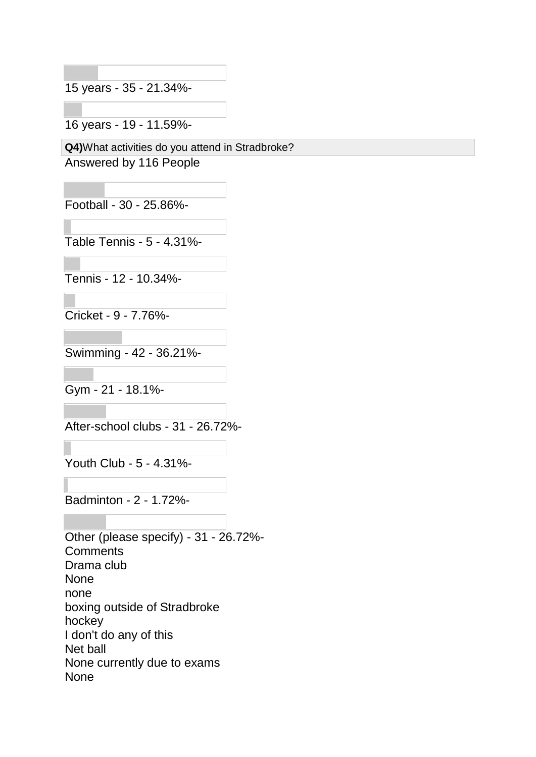15 years - 35 - 21.34%-

16 years - 19 - 11.59%-

**Q4)**What activities do you attend in Stradbroke?

Answered by 116 People

Football - 30 - 25.86%-

Table Tennis - 5 - 4.31%-

Tennis - 12 - 10.34%-

Cricket - 9 - 7.76%-

Swimming - 42 - 36.21%-

Gym - 21 - 18.1%-

After-school clubs - 31 - 26.72%-

Youth Club - 5 - 4.31%-

Badminton - 2 - 1.72%-

Other (please specify) - 31 - 26.72%- **Comments** Drama club None none boxing outside of Stradbroke hockey I don't do any of this Net ball None currently due to exams None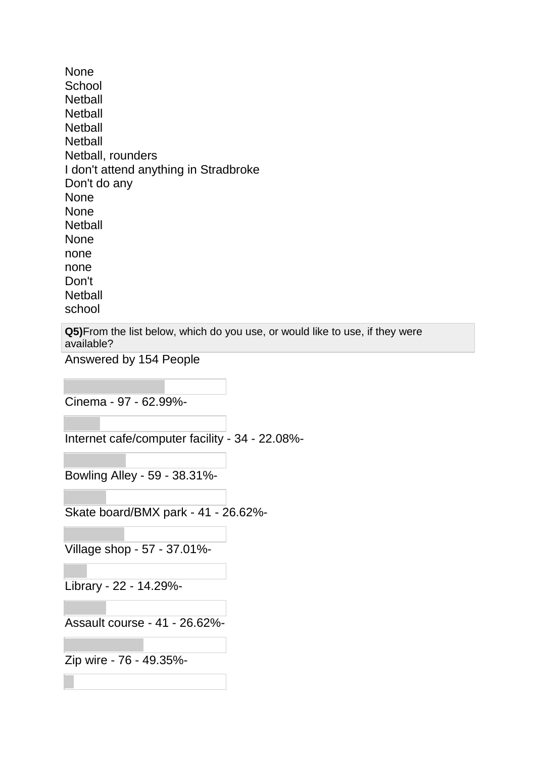None **School Netball Netball Netball Netball** Netball, rounders I don't attend anything in Stradbroke Don't do any None None **Netball** None none none Don't **Netball** school

**Q5)**From the list below, which do you use, or would like to use, if they were available?

Answered by 154 People

Cinema - 97 - 62.99%-

Internet cafe/computer facility - 34 - 22.08%-

Bowling Alley - 59 - 38.31%-

Skate board/BMX park - 41 - 26.62%-

Village shop - 57 - 37.01%-

Library - 22 - 14.29%-

Assault course - 41 - 26.62%-

Zip wire - 76 - 49.35%-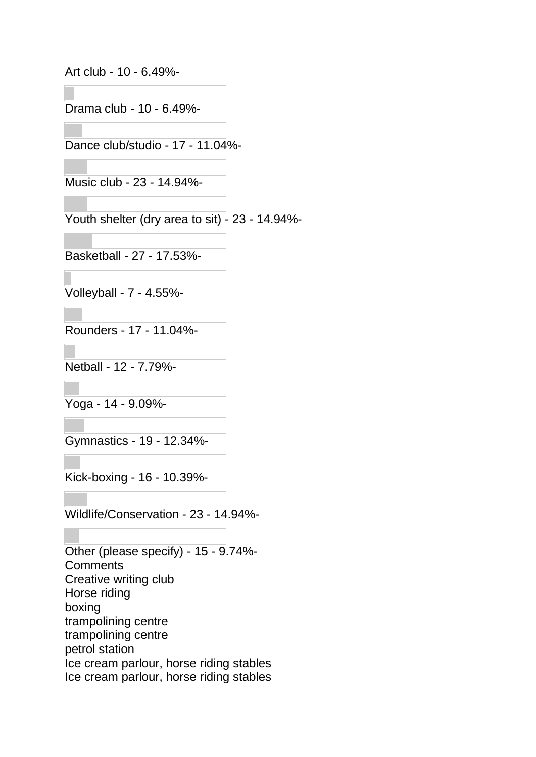Art club - 10 - 6.49%-

Drama club - 10 - 6.49%-

Dance club/studio - 17 - 11.04%-

Music club - 23 - 14.94%-

Youth shelter (dry area to sit) - 23 - 14.94%-

Basketball - 27 - 17.53%-

Volleyball - 7 - 4.55%-

Rounders - 17 - 11.04%-

Netball - 12 - 7.79%-

Yoga - 14 - 9.09%-

Gymnastics - 19 - 12.34%-

Kick-boxing - 16 - 10.39%-

Wildlife/Conservation - 23 - 14.94%-

Other (please specify) - 15 - 9.74%- **Comments** Creative writing club Horse riding boxing trampolining centre trampolining centre petrol station Ice cream parlour, horse riding stables Ice cream parlour, horse riding stables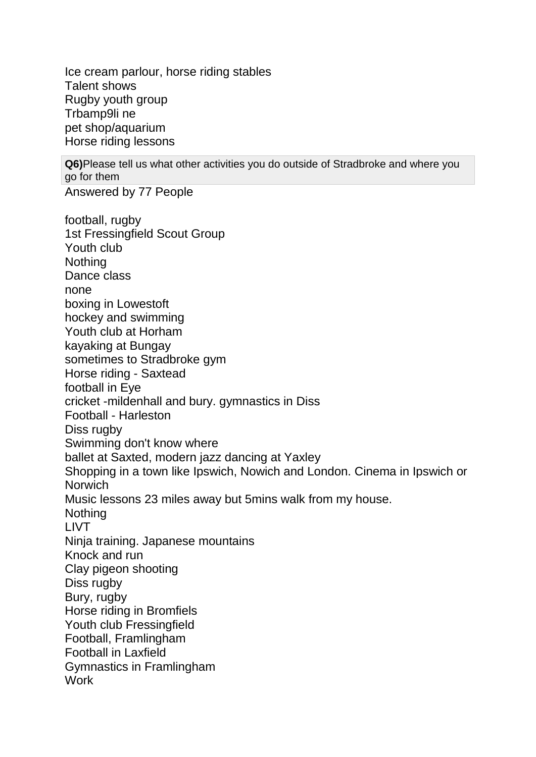Ice cream parlour, horse riding stables Talent shows Rugby youth group Trbamp9li ne pet shop/aquarium Horse riding lessons

**Q6)**Please tell us what other activities you do outside of Stradbroke and where you go for them

Answered by 77 People

football, rugby 1st Fressingfield Scout Group Youth club **Nothing** Dance class none boxing in Lowestoft hockey and swimming Youth club at Horham kayaking at Bungay sometimes to Stradbroke gym Horse riding - Saxtead football in Eye cricket -mildenhall and bury. gymnastics in Diss Football - Harleston Diss rugby Swimming don't know where ballet at Saxted, modern jazz dancing at Yaxley Shopping in a town like Ipswich, Nowich and London. Cinema in Ipswich or **Norwich** Music lessons 23 miles away but 5mins walk from my house. **Nothing** LIVT Ninja training. Japanese mountains Knock and run Clay pigeon shooting Diss rugby Bury, rugby Horse riding in Bromfiels Youth club Fressingfield Football, Framlingham Football in Laxfield Gymnastics in Framlingham **Work**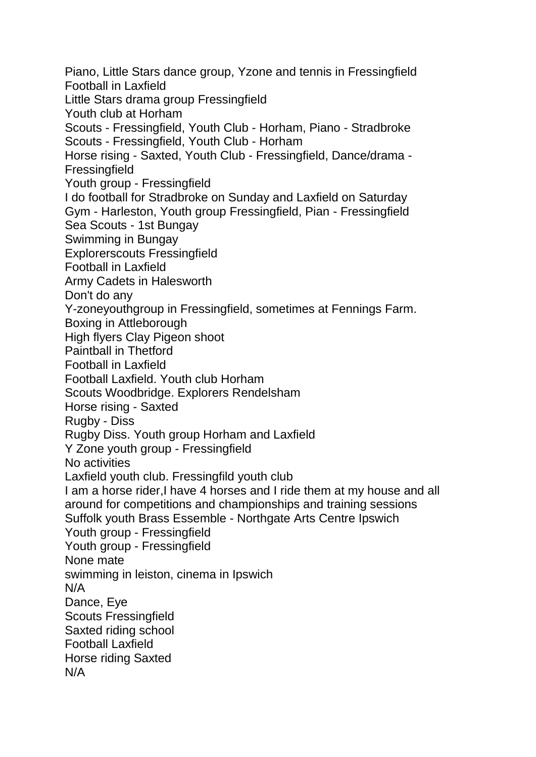Piano, Little Stars dance group, Yzone and tennis in Fressingfield Football in Laxfield Little Stars drama group Fressingfield Youth club at Horham Scouts - Fressingfield, Youth Club - Horham, Piano - Stradbroke Scouts - Fressingfield, Youth Club - Horham Horse rising - Saxted, Youth Club - Fressingfield, Dance/drama - Fressingfield Youth group - Fressingfield I do football for Stradbroke on Sunday and Laxfield on Saturday Gym - Harleston, Youth group Fressingfield, Pian - Fressingfield Sea Scouts - 1st Bungay Swimming in Bungay Explorerscouts Fressingfield Football in Laxfield Army Cadets in Halesworth Don't do any Y-zoneyouthgroup in Fressingfield, sometimes at Fennings Farm. Boxing in Attleborough High flyers Clay Pigeon shoot Paintball in Thetford Football in Laxfield Football Laxfield. Youth club Horham Scouts Woodbridge. Explorers Rendelsham Horse rising - Saxted Rugby - Diss Rugby Diss. Youth group Horham and Laxfield Y Zone youth group - Fressingfield No activities Laxfield youth club. Fressingfild youth club I am a horse rider,I have 4 horses and I ride them at my house and all around for competitions and championships and training sessions Suffolk youth Brass Essemble - Northgate Arts Centre Ipswich Youth group - Fressingfield Youth group - Fressingfield None mate swimming in leiston, cinema in Ipswich N/A Dance, Eye Scouts Fressingfield Saxted riding school Football Laxfield Horse riding Saxted N/A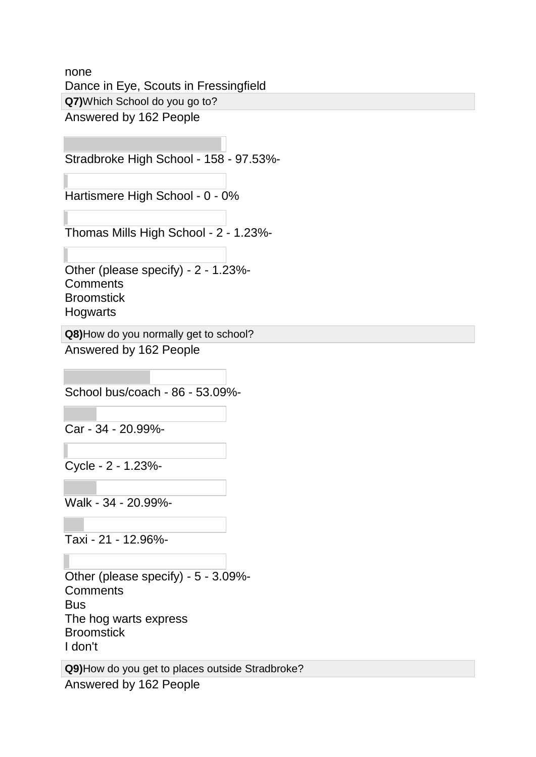none Dance in Eye, Scouts in Fressingfield **Q7)**Which School do you go to? Answered by 162 People

Stradbroke High School - 158 - 97.53%-

Hartismere High School - 0 - 0%

Thomas Mills High School - 2 - 1.23%-

Other (please specify) - 2 - 1.23%- **Comments Broomstick Hogwarts** 

**Q8)**How do you normally get to school? Answered by 162 People

School bus/coach - 86 - 53.09%-

Car - 34 - 20.99%-

Cycle - 2 - 1.23%-

Walk - 34 - 20.99%-

Taxi - 21 - 12.96%-

Other (please specify) - 5 - 3.09%- **Comments Bus** The hog warts express **Broomstick** I don't

**Q9)**How do you get to places outside Stradbroke? Answered by 162 People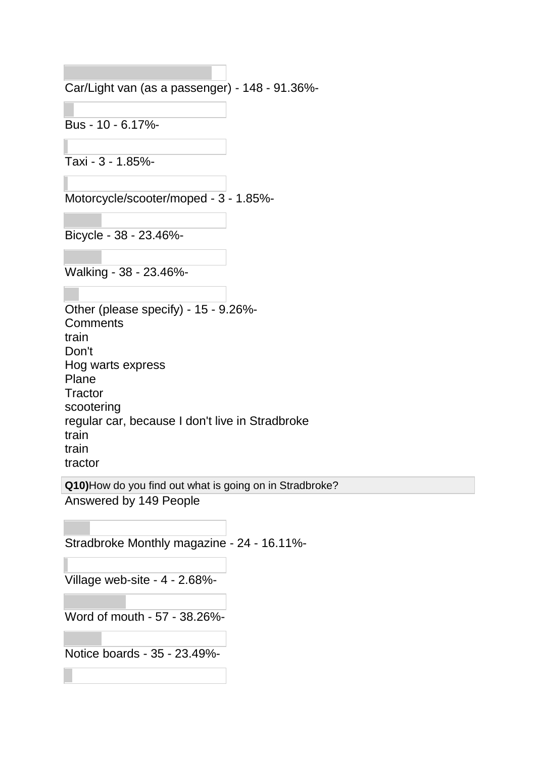Car/Light van (as a passenger) - 148 - 91.36%-

Bus - 10 - 6.17%-

Taxi - 3 - 1.85%-

Motorcycle/scooter/moped - 3 - 1.85%-

Bicycle - 38 - 23.46%-

Walking - 38 - 23.46%-

Other (please specify) - 15 - 9.26%- **Comments** train Don't Hog warts express Plane **Tractor** scootering regular car, because I don't live in Stradbroke train train tractor

**Q10)**How do you find out what is going on in Stradbroke? Answered by 149 People

Stradbroke Monthly magazine - 24 - 16.11%-

Village web-site - 4 - 2.68%-

Word of mouth - 57 - 38.26%-

Notice boards - 35 - 23.49%-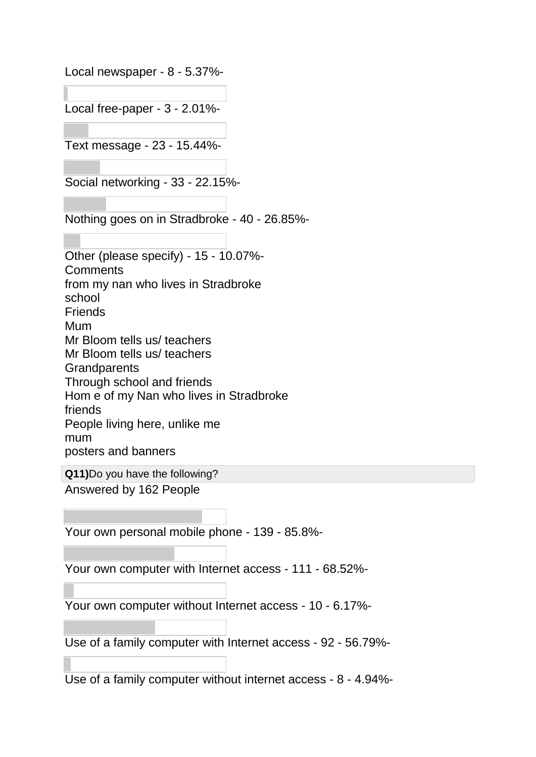Local newspaper - 8 - 5.37%-

Local free-paper - 3 - 2.01%-

Text message - 23 - 15.44%-

Social networking - 33 - 22.15%-

Nothing goes on in Stradbroke - 40 - 26.85%-

Other (please specify) - 15 - 10.07%- **Comments** from my nan who lives in Stradbroke school **Friends** Mum Mr Bloom tells us/ teachers Mr Bloom tells us/ teachers **Grandparents** Through school and friends Hom e of my Nan who lives in Stradbroke friends People living here, unlike me mum posters and banners

**Q11)**Do you have the following?

Answered by 162 People

Your own personal mobile phone - 139 - 85.8%-

Your own computer with Internet access - 111 - 68.52%-

Your own computer without Internet access - 10 - 6.17%-

Use of a family computer with Internet access - 92 - 56.79%-

Use of a family computer without internet access - 8 - 4.94%-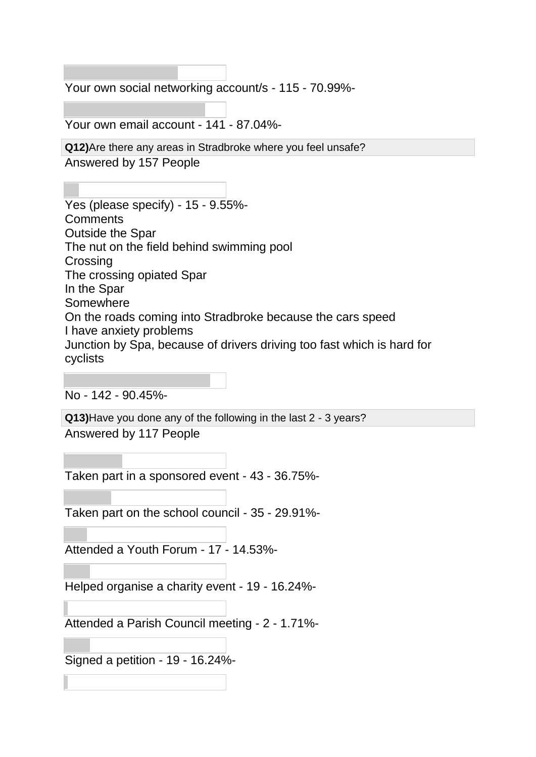Your own social networking account/s - 115 - 70.99%-

Your own email account - 141 - 87.04%-

**Q12)**Are there any areas in Stradbroke where you feel unsafe?

Answered by 157 People

Yes (please specify) - 15 - 9.55%- **Comments** Outside the Spar The nut on the field behind swimming pool **Crossing** The crossing opiated Spar In the Spar Somewhere On the roads coming into Stradbroke because the cars speed I have anxiety problems Junction by Spa, because of drivers driving too fast which is hard for cyclists

No - 142 - 90.45%-

**Q13)**Have you done any of the following in the last 2 - 3 years? Answered by 117 People

Taken part in a sponsored event - 43 - 36.75%-

Taken part on the school council - 35 - 29.91%-

Attended a Youth Forum - 17 - 14.53%-

Helped organise a charity event - 19 - 16.24%-

Attended a Parish Council meeting - 2 - 1.71%-

Signed a petition - 19 - 16.24%-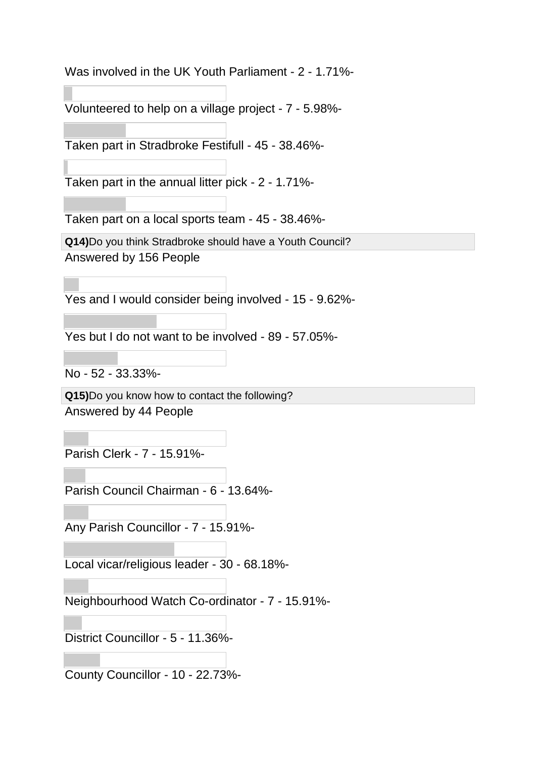Was involved in the UK Youth Parliament - 2 - 1.71%-

Volunteered to help on a village project - 7 - 5.98%-

Taken part in Stradbroke Festifull - 45 - 38.46%-

Taken part in the annual litter pick - 2 - 1.71%-

Taken part on a local sports team - 45 - 38.46%-

**Q14)**Do you think Stradbroke should have a Youth Council?

Answered by 156 People

Yes and I would consider being involved - 15 - 9.62%-

Yes but I do not want to be involved - 89 - 57.05%-

No - 52 - 33.33%-

**Q15)**Do you know how to contact the following? Answered by 44 People

Parish Clerk - 7 - 15.91%-

Parish Council Chairman - 6 - 13.64%-

Any Parish Councillor - 7 - 15.91%-

Local vicar/religious leader - 30 - 68.18%-

Neighbourhood Watch Co-ordinator - 7 - 15.91%-

District Councillor - 5 - 11.36%-

County Councillor - 10 - 22.73%-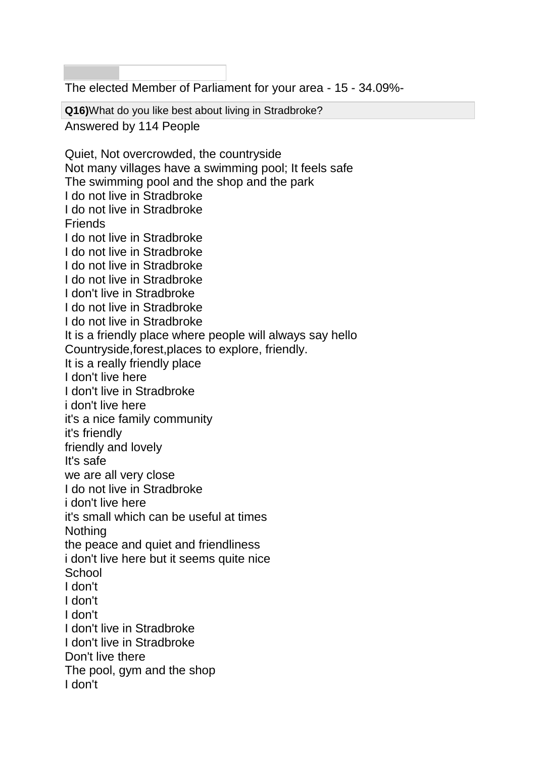The elected Member of Parliament for your area - 15 - 34.09%-

**Q16)**What do you like best about living in Stradbroke? Answered by 114 People

Quiet, Not overcrowded, the countryside Not many villages have a swimming pool; It feels safe The swimming pool and the shop and the park I do not live in Stradbroke I do not live in Stradbroke Friends I do not live in Stradbroke I do not live in Stradbroke I do not live in Stradbroke I do not live in Stradbroke I don't live in Stradbroke I do not live in Stradbroke I do not live in Stradbroke It is a friendly place where people will always say hello Countryside,forest,places to explore, friendly. It is a really friendly place I don't live here I don't live in Stradbroke i don't live here it's a nice family community it's friendly friendly and lovely It's safe we are all very close I do not live in Stradbroke i don't live here it's small which can be useful at times Nothing the peace and quiet and friendliness i don't live here but it seems quite nice **School** I don't I don't I don't I don't live in Stradbroke I don't live in Stradbroke Don't live there The pool, gym and the shop I don't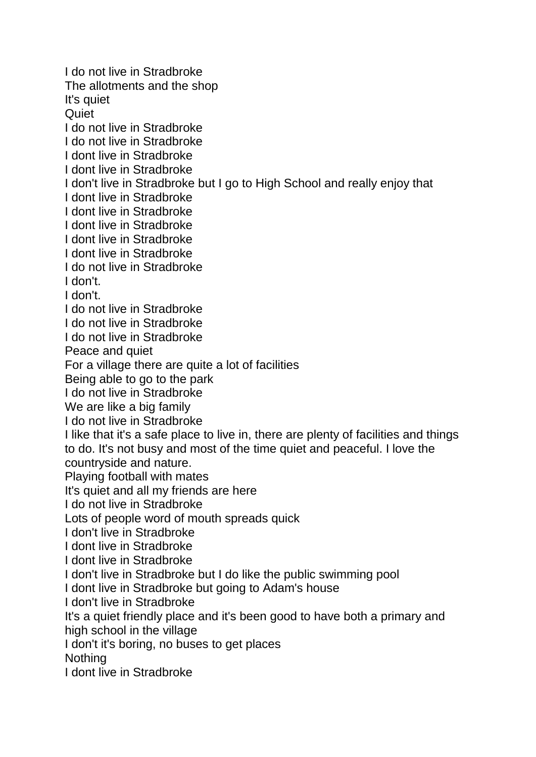I do not live in Stradbroke The allotments and the shop It's quiet **Quiet** I do not live in Stradbroke I do not live in Stradbroke I dont live in Stradbroke I dont live in Stradbroke I don't live in Stradbroke but I go to High School and really enjoy that I dont live in Stradbroke I dont live in Stradbroke I dont live in Stradbroke I dont live in Stradbroke I dont live in Stradbroke I do not live in Stradbroke I don't. I don't. I do not live in Stradbroke I do not live in Stradbroke I do not live in Stradbroke Peace and quiet For a village there are quite a lot of facilities Being able to go to the park I do not live in Stradbroke We are like a big family I do not live in Stradbroke I like that it's a safe place to live in, there are plenty of facilities and things to do. It's not busy and most of the time quiet and peaceful. I love the countryside and nature. Playing football with mates It's quiet and all my friends are here I do not live in Stradbroke Lots of people word of mouth spreads quick I don't live in Stradbroke I dont live in Stradbroke I dont live in Stradbroke I don't live in Stradbroke but I do like the public swimming pool I dont live in Stradbroke but going to Adam's house I don't live in Stradbroke It's a quiet friendly place and it's been good to have both a primary and high school in the village I don't it's boring, no buses to get places Nothing I dont live in Stradbroke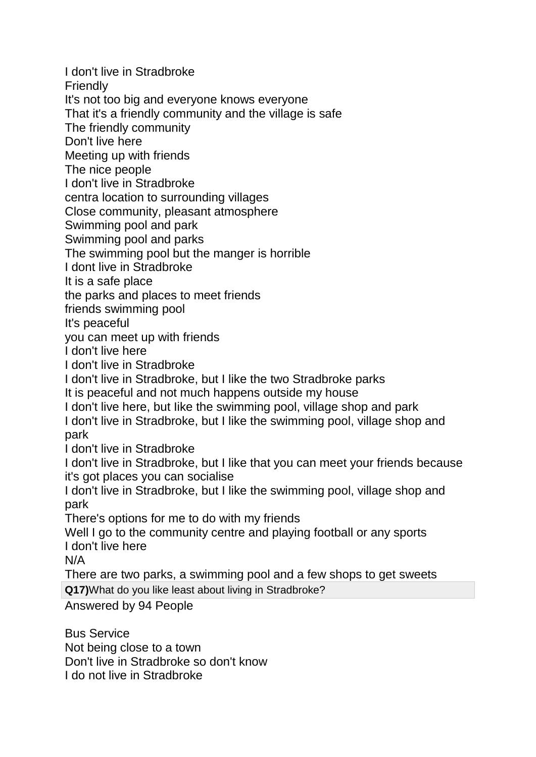I don't live in Stradbroke **Friendly** It's not too big and everyone knows everyone That it's a friendly community and the village is safe The friendly community Don't live here Meeting up with friends The nice people I don't live in Stradbroke centra location to surrounding villages Close community, pleasant atmosphere Swimming pool and park Swimming pool and parks The swimming pool but the manger is horrible I dont live in Stradbroke It is a safe place the parks and places to meet friends friends swimming pool It's peaceful you can meet up with friends I don't live here I don't live in Stradbroke I don't live in Stradbroke, but I like the two Stradbroke parks It is peaceful and not much happens outside my house I don't live here, but Iike the swimming pool, village shop and park I don't live in Stradbroke, but I like the swimming pool, village shop and park I don't live in Stradbroke I don't live in Stradbroke, but I like that you can meet your friends because it's got places you can socialise I don't live in Stradbroke, but I like the swimming pool, village shop and park There's options for me to do with my friends Well I go to the community centre and playing football or any sports I don't live here N/A There are two parks, a swimming pool and a few shops to get sweets **Q17)**What do you like least about living in Stradbroke? Answered by 94 People Bus Service Not being close to a town

Don't live in Stradbroke so don't know

I do not live in Stradbroke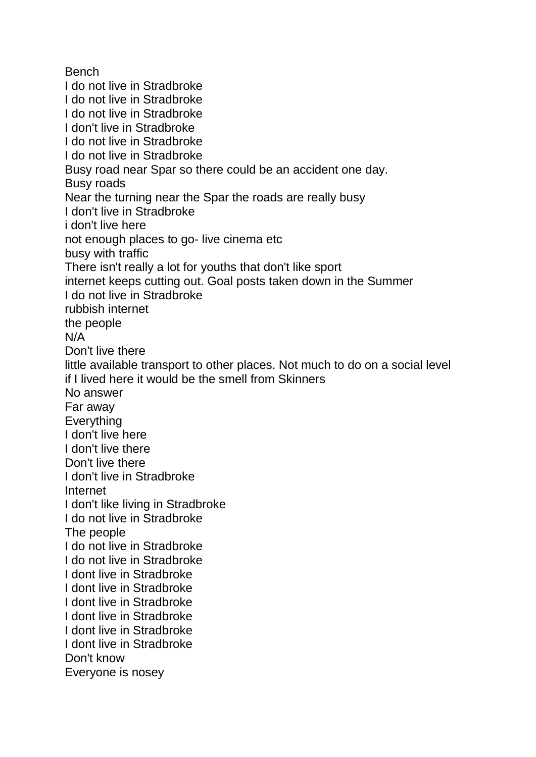Bench I do not live in Stradbroke I do not live in Stradbroke I do not live in Stradbroke I don't live in Stradbroke I do not live in Stradbroke I do not live in Stradbroke Busy road near Spar so there could be an accident one day. Busy roads Near the turning near the Spar the roads are really busy I don't live in Stradbroke i don't live here not enough places to go- live cinema etc busy with traffic There isn't really a lot for youths that don't like sport internet keeps cutting out. Goal posts taken down in the Summer I do not live in Stradbroke rubbish internet the people N/A Don't live there little available transport to other places. Not much to do on a social level if I lived here it would be the smell from Skinners No answer Far away **Everything** I don't live here I don't live there Don't live there I don't live in Stradbroke Internet I don't like living in Stradbroke I do not live in Stradbroke The people I do not live in Stradbroke I do not live in Stradbroke I dont live in Stradbroke I dont live in Stradbroke I dont live in Stradbroke I dont live in Stradbroke I dont live in Stradbroke I dont live in Stradbroke Don't know Everyone is nosey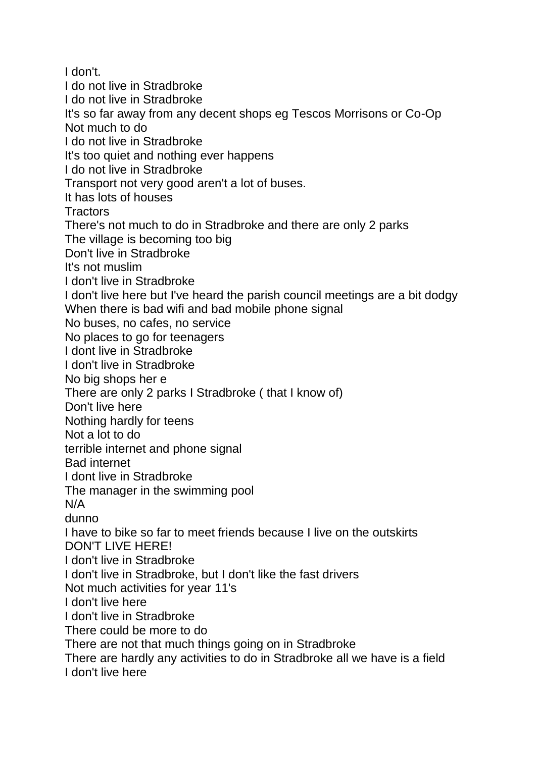I don't. I do not live in Stradbroke I do not live in Stradbroke It's so far away from any decent shops eg Tescos Morrisons or Co-Op Not much to do I do not live in Stradbroke It's too quiet and nothing ever happens I do not live in Stradbroke Transport not very good aren't a lot of buses. It has lots of houses **Tractors** There's not much to do in Stradbroke and there are only 2 parks The village is becoming too big Don't live in Stradbroke It's not muslim I don't live in Stradbroke I don't live here but I've heard the parish council meetings are a bit dodgy When there is bad wifi and bad mobile phone signal No buses, no cafes, no service No places to go for teenagers I dont live in Stradbroke I don't live in Stradbroke No big shops her e There are only 2 parks I Stradbroke ( that I know of) Don't live here Nothing hardly for teens Not a lot to do terrible internet and phone signal Bad internet I dont live in Stradbroke The manager in the swimming pool N/A dunno I have to bike so far to meet friends because I live on the outskirts DON'T LIVE HERE! I don't live in Stradbroke I don't live in Stradbroke, but I don't like the fast drivers Not much activities for year 11's I don't live here I don't live in Stradbroke There could be more to do There are not that much things going on in Stradbroke There are hardly any activities to do in Stradbroke all we have is a field I don't live here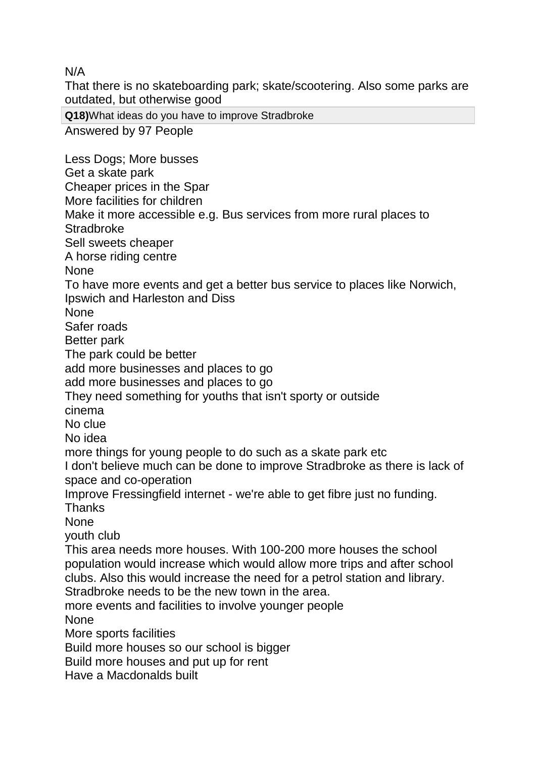N/A

That there is no skateboarding park; skate/scootering. Also some parks are outdated, but otherwise good

**Q18)**What ideas do you have to improve Stradbroke

Answered by 97 People

Less Dogs; More busses Get a skate park Cheaper prices in the Spar More facilities for children Make it more accessible e.g. Bus services from more rural places to **Stradbroke** Sell sweets cheaper A horse riding centre None To have more events and get a better bus service to places like Norwich, Ipswich and Harleston and Diss None Safer roads Better park The park could be better add more businesses and places to go add more businesses and places to go They need something for youths that isn't sporty or outside cinema No clue No idea more things for young people to do such as a skate park etc I don't believe much can be done to improve Stradbroke as there is lack of space and co-operation Improve Fressingfield internet - we're able to get fibre just no funding. **Thanks** None youth club This area needs more houses. With 100-200 more houses the school population would increase which would allow more trips and after school clubs. Also this would increase the need for a petrol station and library. Stradbroke needs to be the new town in the area. more events and facilities to involve younger people None More sports facilities Build more houses so our school is bigger Build more houses and put up for rent Have a Macdonalds built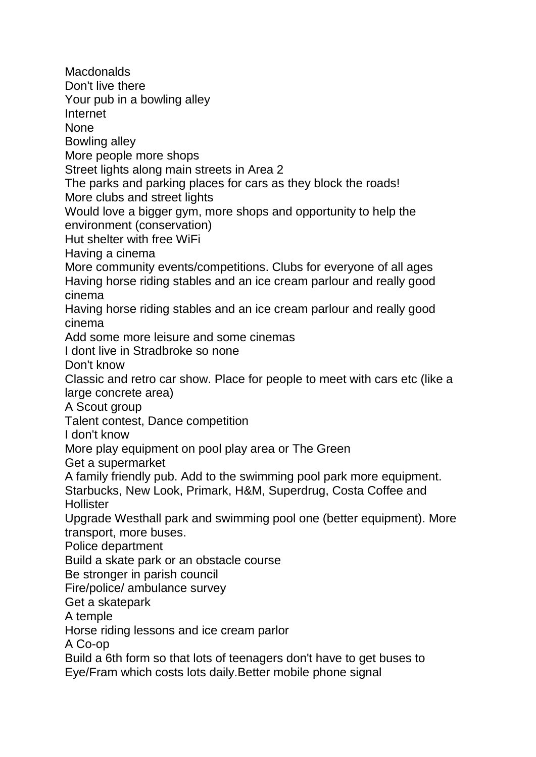**Macdonalds** Don't live there Your pub in a bowling alley Internet None Bowling alley More people more shops Street lights along main streets in Area 2 The parks and parking places for cars as they block the roads! More clubs and street lights Would love a bigger gym, more shops and opportunity to help the environment (conservation) Hut shelter with free WiFi Having a cinema More community events/competitions. Clubs for everyone of all ages Having horse riding stables and an ice cream parlour and really good cinema Having horse riding stables and an ice cream parlour and really good cinema Add some more leisure and some cinemas I dont live in Stradbroke so none Don't know Classic and retro car show. Place for people to meet with cars etc (like a large concrete area) A Scout group Talent contest, Dance competition I don't know More play equipment on pool play area or The Green Get a supermarket A family friendly pub. Add to the swimming pool park more equipment. Starbucks, New Look, Primark, H&M, Superdrug, Costa Coffee and **Hollister** Upgrade Westhall park and swimming pool one (better equipment). More transport, more buses. Police department Build a skate park or an obstacle course Be stronger in parish council Fire/police/ ambulance survey Get a skatepark A temple Horse riding lessons and ice cream parlor A Co-op Build a 6th form so that lots of teenagers don't have to get buses to Eye/Fram which costs lots daily.Better mobile phone signal